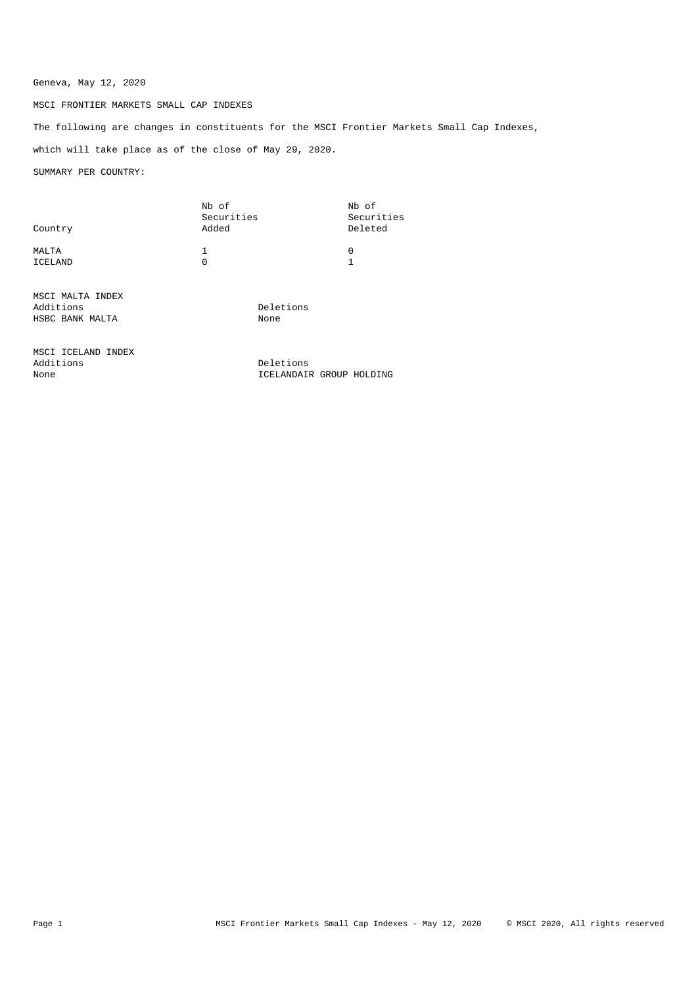## Geneva, May 12, 2020

## MSCI FRONTIER MARKETS SMALL CAP INDEXES

The following are changes in constituents for the MSCI Frontier Markets Small Cap Indexes, which will take place as of the close of May 29, 2020.

SUMMARY PER COUNTRY:

| Country          | Nb of<br>Securities<br>Added | Nb of<br>Securities<br>Deleted |
|------------------|------------------------------|--------------------------------|
| MALTA<br>ICELAND | U                            | $\Omega$                       |

MSCI MALTA INDEX Additions Deletions HSBC BANK MALTA

MSCI ICELAND INDEX Additions Deletions Deletions Deletions on the Deletions of the Deletions of the Deletions of the Deletions of the Deletions of the Deletions of the Deletions of the Deletions of the Deletions of the Deletions of the Delet

ICELANDAIR GROUP HOLDING